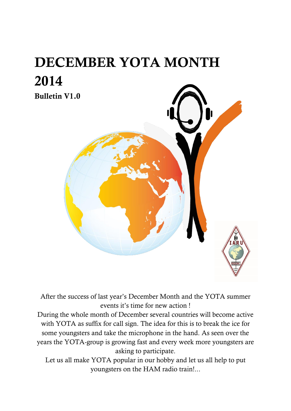# **DECEMBER YOTA MONTH 2014**



After the success of last year's December Month and the YOTA summer events it's time for new action !

During the whole month of December several countries will become active with YOTA as suffix for call sign. The idea for this is to break the ice for some youngsters and take the microphone in the hand. As seen over the years the YOTA-group is growing fast and every week more youngsters are asking to participate.

Let us all make YOTA popular in our hobby and let us all help to put youngsters on the HAM radio train!...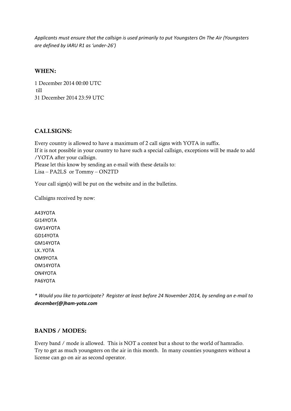*Applicants must ensure that the callsign is used primarily to put Youngsters On The Air (Youngsters are defined by IARU R1 as 'under-26')*

#### **WHEN:**

1 December 2014 00:00 UTC till 31 December 2014 23:59 UTC

#### **CALLSIGNS:**

Every country is allowed to have a maximum of 2 call signs with YOTA in suffix. If it is not possible in your country to have such a special callsign, exceptions will be made to add /YOTA after your callsign. Please let this know by sending an e-mail with these details to: Lisa – PA2LS or Tommy – ON2TD

Your call sign(s) will be put on the website and in the bulletins.

Callsigns received by now:

A43YOTA GI14YOTA GW14YOTA GD14YOTA GM14YOTA LX..YOTA OM9YOTA OM14YOTA ON4YOTA PA6YOTA

*\* Would you like to participate? Register at least before 24 November 2014, by sending an e-mail to [december\(@\)ham-yota.com](mailto:december@ham-yota.com)*

#### **BANDS / MODES:**

Every band / mode is allowed. This is NOT a contest but a shout to the world of hamradio. Try to get as much youngsters on the air in this month. In many counties youngsters without a license can go on air as second operator.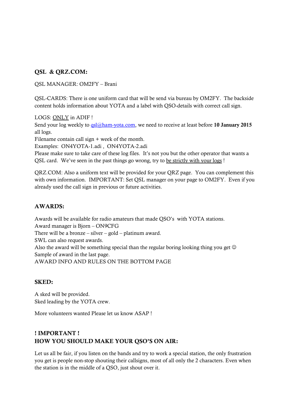#### **QSL & QRZ.COM:**

QSL MANAGER: OM2FY – Brani

QSL-CARDS: There is one uniform card that will be send via bureau by OM2FY. The backside content holds information about YOTA and a label with QSO-details with correct call sign.

LOGS: ONLY in ADIF !

Send your log weekly to [qsl@ham-yota.com,](mailto:qsl@ham-yota.com) we need to receive at least before **10 January 2015** all logs.

Filename contain call sign + week of the month.

Examples: ON4YOTA-1.adi , ON4YOTA-2.adi

Please make sure to take care of these log files. It's not you but the other operator that wants a QSL card. We've seen in the past things go wrong, try to be strictly with your logs !

QRZ.COM: Also a uniform text will be provided for your QRZ page. You can complement this with own information. IMPORTANT: Set QSL manager on your page to OM2FY. Even if you already used the call sign in previous or future activities.

#### **AWARDS:**

Awards will be available for radio amateurs that made QSO's with YOTA stations. Award manager is Bjorn – ON9CFG There will be a bronze – silver – gold – platinum award. SWL can also request awards. Also the award will be something special than the regular boring looking thing you get  $\odot$ Sample of award in the last page. AWARD INFO AND RULES ON THE BOTTOM PAGE

#### **SKED:**

A sked will be provided. Sked leading by the YOTA crew.

More volunteers wanted Please let us know ASAP !

#### **! IMPORTANT ! HOW YOU SHOULD MAKE YOUR QSO'S ON AIR:**

Let us all be fair, if you listen on the bands and try to work a special station, the only frustration you get is people non-stop shouting their callsigns, most of all only the 2 characters. Even when the station is in the middle of a QSO, just shout over it.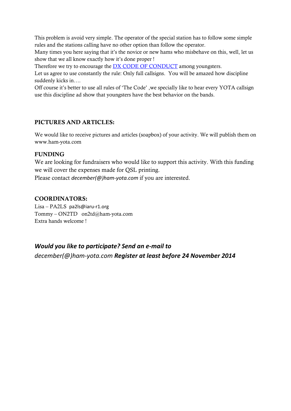This problem is avoid very simple. The operator of the special station has to follow some simple rules and the stations calling have no other option than follow the operator.

Many times you here saying that it's the novice or new hams who misbehave on this, well, let us show that we all know exactly how it's done proper !

Therefore we try to encourage the **DX CODE OF CONDUCT** among youngsters.

Let us agree to use constantly the rule: Only full callsigns. You will be amazed how discipline suddenly kicks in….

Off course it's better to use all rules of 'The Code' ,we specially like to hear every YOTA callsign use this discipline ad show that youngsters have the best behavior on the bands.

#### **PICTURES AND ARTICLES:**

We would like to receive pictures and articles (soapbox) of your activity. We will publish them on [www.ham-yota.com](http://www.ham-yota.com/)

#### **FUNDING**

We are looking for fundraisers who would like to support this activity. With this funding we will cover the expenses made for QSL printing.

Please contact *[december\(@\)ham-yota.com](mailto:december@ham-yota.com)* if you are interested.

#### **COORDINATORS:**

Lisa – PA2LS pa2ls@iaru-r1.org Tommy – ON2TD on2td@ham-yota.com Extra hands welcome !

*Would you like to participate? Send an e-mail to [december\(@\)ham-yota.com](mailto:december@ham-yota.com) Register at least before 24 November 2014*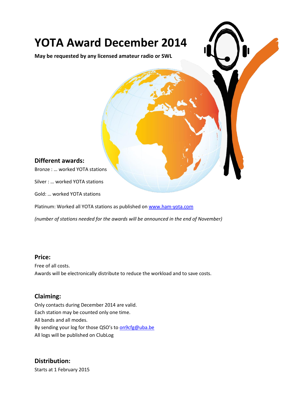## **YOTA Award December 2014**

**May be requested by any licensed amateur radio or SWL** 

#### **Different awards:**

Bronze : … worked YOTA stations

Silver : … worked YOTA stations

Gold: … worked YOTA stations

Platinum: Worked all YOTA stations as published on [www.ham-yota.com](http://www.ham-yota.com/)

*(number of stations needed for the awards will be announced in the end of November)*

#### **Price:**

Free of all costs. Awards will be electronically distribute to reduce the workload and to save costs.

#### **Claiming:**

Only contacts during December 2014 are valid. Each station may be counted only one time. All bands and all modes. By sending your log for those QSO's to [on9cfg@uba.be](mailto:on9cfg@uba.be) All logs will be published on ClubLog

### **Distribution:**

Starts at 1 February 2015